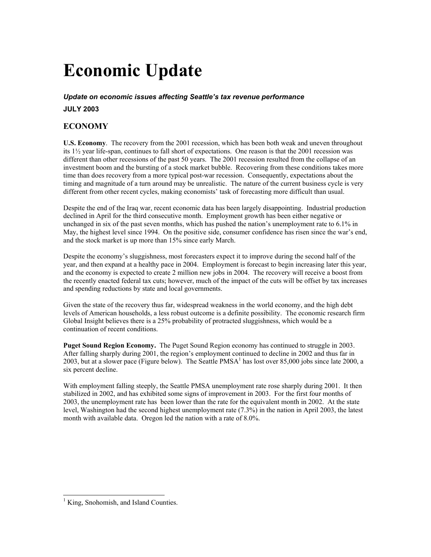# **Economic Update**

#### *Update on economic issues affecting Seattle's tax revenue performance*

**JULY 2003** 

### **ECONOMY**

**U.S. Economy**. The recovery from the 2001 recession, which has been both weak and uneven throughout its 1½ year life-span, continues to fall short of expectations. One reason is that the 2001 recession was different than other recessions of the past 50 years. The 2001 recession resulted from the collapse of an investment boom and the bursting of a stock market bubble. Recovering from these conditions takes more time than does recovery from a more typical post-war recession. Consequently, expectations about the timing and magnitude of a turn around may be unrealistic. The nature of the current business cycle is very different from other recent cycles, making economists' task of forecasting more difficult than usual.

Despite the end of the Iraq war, recent economic data has been largely disappointing. Industrial production declined in April for the third consecutive month. Employment growth has been either negative or unchanged in six of the past seven months, which has pushed the nation's unemployment rate to 6.1% in May, the highest level since 1994. On the positive side, consumer confidence has risen since the war's end, and the stock market is up more than 15% since early March.

Despite the economy's sluggishness, most forecasters expect it to improve during the second half of the year, and then expand at a healthy pace in 2004. Employment is forecast to begin increasing later this year, and the economy is expected to create 2 million new jobs in 2004. The recovery will receive a boost from the recently enacted federal tax cuts; however, much of the impact of the cuts will be offset by tax increases and spending reductions by state and local governments.

Given the state of the recovery thus far, widespread weakness in the world economy, and the high debt levels of American households, a less robust outcome is a definite possibility. The economic research firm Global Insight believes there is a 25% probability of protracted sluggishness, which would be a continuation of recent conditions.

**Puget Sound Region Economy.** The Puget Sound Region economy has continued to struggle in 2003. After falling sharply during 2001, the region's employment continued to decline in 2002 and thus far in 2003, but at a slower pace (Figure below). The Seattle PMSA<sup>1</sup> has lost over 85,000 jobs since late 2000, a six percent decline.

With employment falling steeply, the Seattle PMSA unemployment rate rose sharply during 2001. It then stabilized in 2002, and has exhibited some signs of improvement in 2003. For the first four months of 2003, the unemployment rate has been lower than the rate for the equivalent month in 2002. At the state level, Washington had the second highest unemployment rate (7.3%) in the nation in April 2003, the latest month with available data. Oregon led the nation with a rate of 8.0%.

 $\overline{a}$ 

<sup>&</sup>lt;sup>1</sup> King, Snohomish, and Island Counties.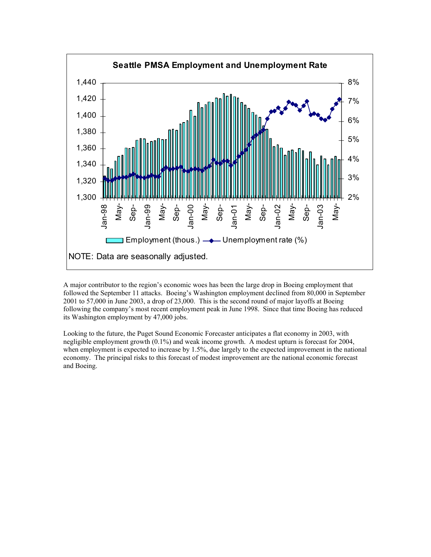

A major contributor to the region's economic woes has been the large drop in Boeing employment that followed the September 11 attacks. Boeing's Washington employment declined from 80,000 in September 2001 to 57,000 in June 2003, a drop of 23,000. This is the second round of major layoffs at Boeing following the company's most recent employment peak in June 1998. Since that time Boeing has reduced its Washington employment by 47,000 jobs.

Looking to the future, the Puget Sound Economic Forecaster anticipates a flat economy in 2003, with negligible employment growth (0.1%) and weak income growth. A modest upturn is forecast for 2004, when employment is expected to increase by 1.5%, due largely to the expected improvement in the national economy. The principal risks to this forecast of modest improvement are the national economic forecast and Boeing.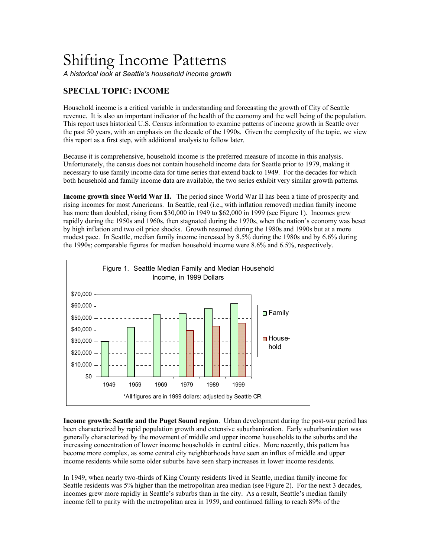## Shifting Income Patterns

*A historical look at Seattle's household income growth* 

### **SPECIAL TOPIC: INCOME**

Household income is a critical variable in understanding and forecasting the growth of City of Seattle revenue. It is also an important indicator of the health of the economy and the well being of the population. This report uses historical U.S. Census information to examine patterns of income growth in Seattle over the past 50 years, with an emphasis on the decade of the 1990s. Given the complexity of the topic, we view this report as a first step, with additional analysis to follow later.

Because it is comprehensive, household income is the preferred measure of income in this analysis. Unfortunately, the census does not contain household income data for Seattle prior to 1979, making it necessary to use family income data for time series that extend back to 1949. For the decades for which both household and family income data are available, the two series exhibit very similar growth patterns.

**Income growth since World War II.** The period since World War II has been a time of prosperity and rising incomes for most Americans. In Seattle, real (i.e., with inflation removed) median family income has more than doubled, rising from \$30,000 in 1949 to \$62,000 in 1999 (see Figure 1). Incomes grew rapidly during the 1950s and 1960s, then stagnated during the 1970s, when the nation's economy was beset by high inflation and two oil price shocks. Growth resumed during the 1980s and 1990s but at a more modest pace. In Seattle, median family income increased by 8.5% during the 1980s and by 6.6% during the 1990s; comparable figures for median household income were 8.6% and 6.5%, respectively.



**Income growth: Seattle and the Puget Sound region**. Urban development during the post-war period has been characterized by rapid population growth and extensive suburbanization. Early suburbanization was generally characterized by the movement of middle and upper income households to the suburbs and the increasing concentration of lower income households in central cities. More recently, this pattern has become more complex, as some central city neighborhoods have seen an influx of middle and upper income residents while some older suburbs have seen sharp increases in lower income residents.

In 1949, when nearly two-thirds of King County residents lived in Seattle, median family income for Seattle residents was 5% higher than the metropolitan area median (see Figure 2). For the next 3 decades, incomes grew more rapidly in Seattle's suburbs than in the city. As a result, Seattle's median family income fell to parity with the metropolitan area in 1959, and continued falling to reach 89% of the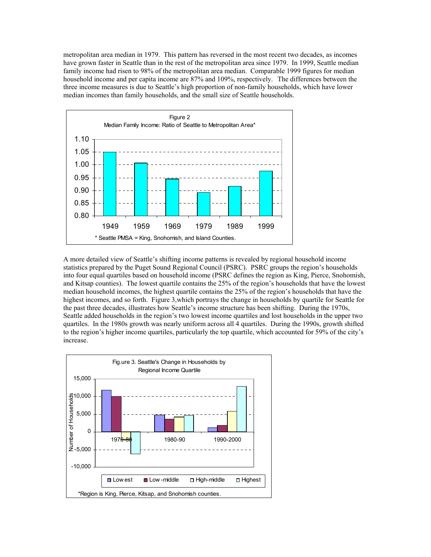metropolitan area median in 1979. This pattern has reversed in the most recent two decades, as incomes have grown faster in Seattle than in the rest of the metropolitan area since 1979. In 1999, Seattle median family income had risen to 98% of the metropolitan area median. Comparable 1999 figures for median household income and per capita income are 87% and 109%, respectively. The differences between the three income measures is due to Seattle's high proportion of non-family households, which have lower median incomes than family households, and the small size of Seattle households.



A more detailed view of Seattle's shifting income patterns is revealed by regional household income statistics prepared by the Puget Sound Regional Council (PSRC). PSRC groups the region's households into four equal quartiles based on household income (PSRC defines the region as King, Pierce, Snohomish, and Kitsap counties). The lowest quartile contains the 25% of the region's households that have the lowest median household incomes, the highest quartile contains the 25% of the region's households that have the highest incomes, and so forth. Figure 3, which portrays the change in households by quartile for Seattle for the past three decades, illustrates how Seattle's income structure has been shifting. During the 1970s, Seattle added households in the region's two lowest income quartiles and lost households in the upper two quartiles. In the 1980s growth was nearly uniform across all 4 quartiles. During the 1990s, growth shifted to the region's higher income quartiles, particularly the top quartile, which accounted for 59% of the city's increase.

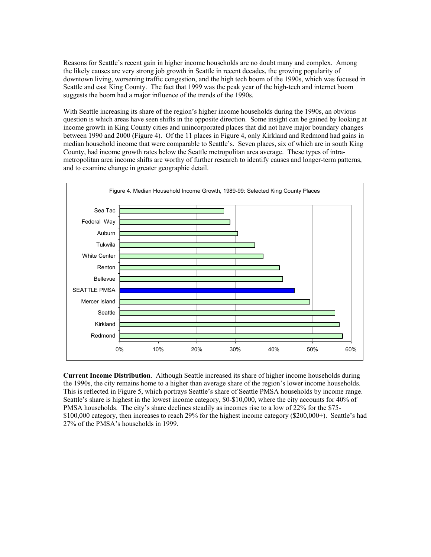Reasons for Seattle's recent gain in higher income households are no doubt many and complex. Among the likely causes are very strong job growth in Seattle in recent decades, the growing popularity of downtown living, worsening traffic congestion, and the high tech boom of the 1990s, which was focused in Seattle and east King County. The fact that 1999 was the peak year of the high-tech and internet boom suggests the boom had a major influence of the trends of the 1990s.

With Seattle increasing its share of the region's higher income households during the 1990s, an obvious question is which areas have seen shifts in the opposite direction. Some insight can be gained by looking at income growth in King County cities and unincorporated places that did not have major boundary changes between 1990 and 2000 (Figure 4). Of the 11 places in Figure 4, only Kirkland and Redmond had gains in median household income that were comparable to Seattle's. Seven places, six of which are in south King County, had income growth rates below the Seattle metropolitan area average. These types of intrametropolitan area income shifts are worthy of further research to identify causes and longer-term patterns, and to examine change in greater geographic detail.



**Current Income Distribution**. Although Seattle increased its share of higher income households during the 1990s, the city remains home to a higher than average share of the region's lower income households. This is reflected in Figure 5, which portrays Seattle's share of Seattle PMSA households by income range. Seattle's share is highest in the lowest income category, \$0-\$10,000, where the city accounts for 40% of PMSA households. The city's share declines steadily as incomes rise to a low of 22% for the \$75- \$100,000 category, then increases to reach 29% for the highest income category (\$200,000+). Seattle's had 27% of the PMSA's households in 1999.